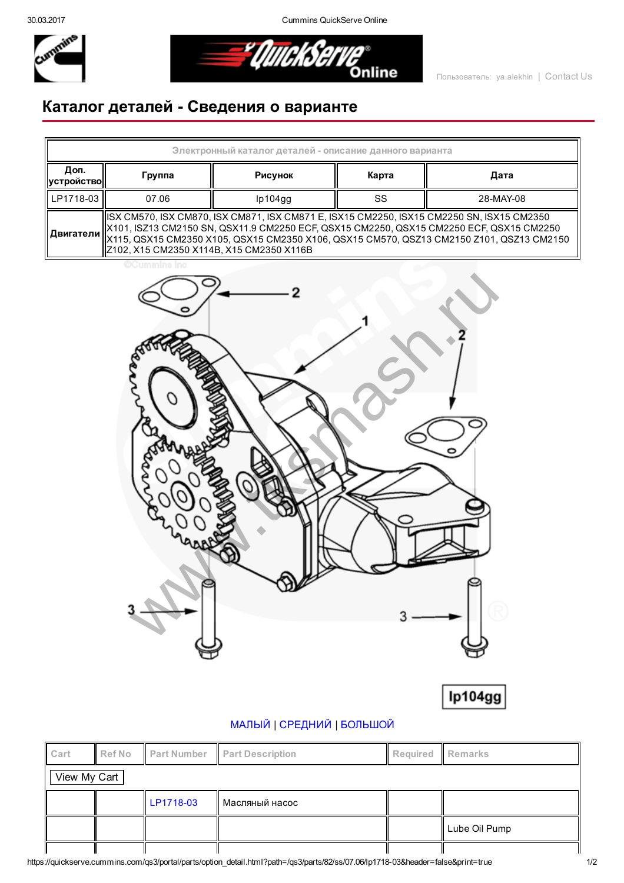30.03.2017 Cummins QuickServe Online



<u>="QuickSer</u> **Online** 

## Каталог деталей Сведения о варианте

| Электронный каталог деталей - описание данного варианта                                                                                                                                                                                                                                                                                              |        |         |       |           |  |  |  |  |
|------------------------------------------------------------------------------------------------------------------------------------------------------------------------------------------------------------------------------------------------------------------------------------------------------------------------------------------------------|--------|---------|-------|-----------|--|--|--|--|
| Доп.<br><b>  устройство </b>                                                                                                                                                                                                                                                                                                                         | Группа | Рисунок | Карта | Дата      |  |  |  |  |
| LP1718-03                                                                                                                                                                                                                                                                                                                                            | 07.06  | lp104gg | SS    | 28-MAY-08 |  |  |  |  |
| ISX CM570, ISX CM870, ISX CM871, ISX CM871 E, ISX15 CM2250, ISX15 CM2250 SN, ISX15 CM2350<br>  X101, ISZ13 CM2150 SN, QSX11.9 CM2250 ECF, QSX15 CM2250, QSX15 CM2250 ECF, QSX15 CM2250<br>   <b>Двигатели</b>   X115, QSX15 CM2350 X105, QSX15 CM2350 X106, QSX15 CM570, QSZ13 CM2150 Z101, QSZ13 CM2150<br>Z102, X15 CM2350 X114B, X15 CM2350 X116B |        |         |       |           |  |  |  |  |

**CCummins in** 





## [МАЛЫЙ](javascript:swap_img() | [СРЕДНИЙ](javascript:swap_img() | [БОЛЬШОЙ](javascript:swap_img()

| Cart         | Ref No |           | <b>Part Number Part Description</b> | Required Remarks |               |  |  |  |
|--------------|--------|-----------|-------------------------------------|------------------|---------------|--|--|--|
| View My Cart |        |           |                                     |                  |               |  |  |  |
|              |        | LP1718-03 | II Масляный насос                   |                  |               |  |  |  |
|              |        |           |                                     |                  | Lube Oil Pump |  |  |  |
|              |        |           |                                     |                  |               |  |  |  |